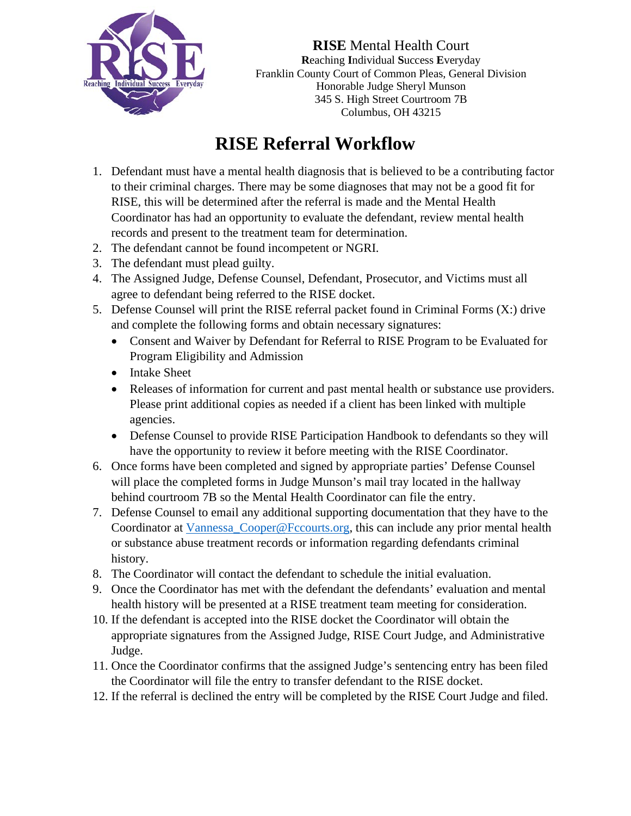

**RISE** Mental Health Court **R**eaching **I**ndividual **S**uccess **E**veryday Franklin County Court of Common Pleas, General Division Honorable Judge Sheryl Munson 345 S. High Street Courtroom 7B Columbus, OH 43215

# **RISE Referral Workflow**

- 1. Defendant must have a mental health diagnosis that is believed to be a contributing factor to their criminal charges. There may be some diagnoses that may not be a good fit for RISE, this will be determined after the referral is made and the Mental Health Coordinator has had an opportunity to evaluate the defendant, review mental health records and present to the treatment team for determination.
- 2. The defendant cannot be found incompetent or NGRI.
- 3. The defendant must plead guilty.
- 4. The Assigned Judge, Defense Counsel, Defendant, Prosecutor, and Victims must all agree to defendant being referred to the RISE docket.
- 5. Defense Counsel will print the RISE referral packet found in Criminal Forms (X:) drive and complete the following forms and obtain necessary signatures:
	- Consent and Waiver by Defendant for Referral to RISE Program to be Evaluated for Program Eligibility and Admission
	- Intake Sheet
	- Releases of information for current and past mental health or substance use providers. Please print additional copies as needed if a client has been linked with multiple agencies.
	- Defense Counsel to provide RISE Participation Handbook to defendants so they will have the opportunity to review it before meeting with the RISE Coordinator.
- 6. Once forms have been completed and signed by appropriate parties' Defense Counsel will place the completed forms in Judge Munson's mail tray located in the hallway behind courtroom 7B so the Mental Health Coordinator can file the entry.
- 7. Defense Counsel to email any additional supporting documentation that they have to the Coordinator at [Vannessa\\_Cooper@Fccourts.org,](mailto:Vannessa_Cooper@Fccourts.org) this can include any prior mental health or substance abuse treatment records or information regarding defendants criminal history.
- 8. The Coordinator will contact the defendant to schedule the initial evaluation.
- 9. Once the Coordinator has met with the defendant the defendants' evaluation and mental health history will be presented at a RISE treatment team meeting for consideration.
- 10. If the defendant is accepted into the RISE docket the Coordinator will obtain the appropriate signatures from the Assigned Judge, RISE Court Judge, and Administrative Judge.
- 11. Once the Coordinator confirms that the assigned Judge's sentencing entry has been filed the Coordinator will file the entry to transfer defendant to the RISE docket.
- 12. If the referral is declined the entry will be completed by the RISE Court Judge and filed.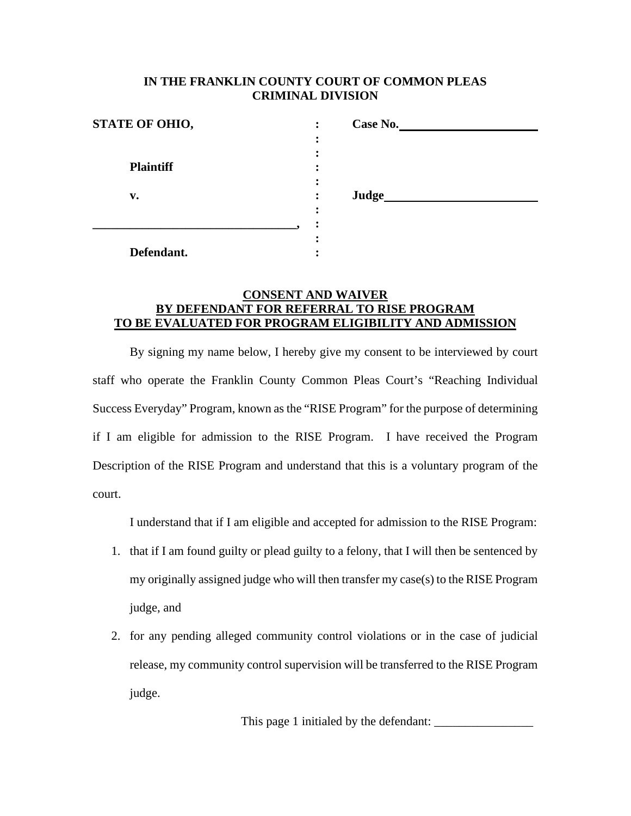#### **IN THE FRANKLIN COUNTY COURT OF COMMON PLEAS CRIMINAL DIVISION**

| STATE OF OHIO,   | Case No.     |  |
|------------------|--------------|--|
|                  |              |  |
|                  |              |  |
| <b>Plaintiff</b> |              |  |
|                  |              |  |
| v.               | <b>Judge</b> |  |
|                  |              |  |
|                  |              |  |
|                  |              |  |
| Defendant.       |              |  |

#### **CONSENT AND WAIVER BY DEFENDANT FOR REFERRAL TO RISE PROGRAM TO BE EVALUATED FOR PROGRAM ELIGIBILITY AND ADMISSION**

By signing my name below, I hereby give my consent to be interviewed by court staff who operate the Franklin County Common Pleas Court's "Reaching Individual Success Everyday" Program, known as the "RISE Program" for the purpose of determining if I am eligible for admission to the RISE Program. I have received the Program Description of the RISE Program and understand that this is a voluntary program of the court.

I understand that if I am eligible and accepted for admission to the RISE Program:

- 1. that if I am found guilty or plead guilty to a felony, that I will then be sentenced by my originally assigned judge who will then transfer my case(s) to the RISE Program judge, and
- 2. for any pending alleged community control violations or in the case of judicial release, my community control supervision will be transferred to the RISE Program judge.

This page 1 initialed by the defendant: \_\_\_\_\_\_\_\_\_\_\_\_\_\_\_\_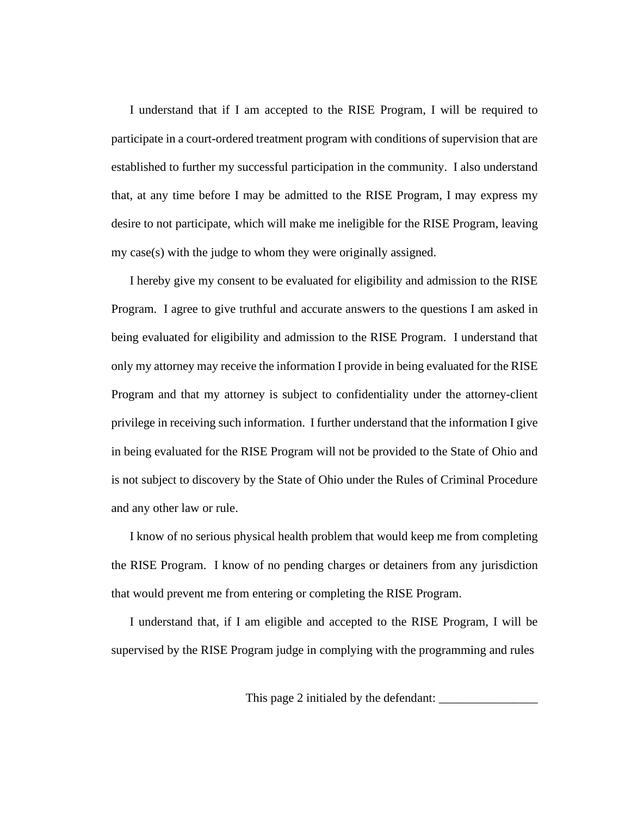I understand that if I am accepted to the RISE Program, I will be required to participate in a court-ordered treatment program with conditions of supervision that are established to further my successful participation in the community. I also understand that, at any time before I may be admitted to the RISE Program, I may express my desire to not participate, which will make me ineligible for the RISE Program, leaving my case(s) with the judge to whom they were originally assigned.

I hereby give my consent to be evaluated for eligibility and admission to the RISE Program. I agree to give truthful and accurate answers to the questions I am asked in being evaluated for eligibility and admission to the RISE Program. I understand that only my attorney may receive the information I provide in being evaluated for the RISE Program and that my attorney is subject to confidentiality under the attorney-client privilege in receiving such information. I further understand that the information I give in being evaluated for the RISE Program will not be provided to the State of Ohio and is not subject to discovery by the State of Ohio under the Rules of Criminal Procedure and any other law or rule.

I know of no serious physical health problem that would keep me from completing the RISE Program. I know of no pending charges or detainers from any jurisdiction that would prevent me from entering or completing the RISE Program.

I understand that, if I am eligible and accepted to the RISE Program, I will be supervised by the RISE Program judge in complying with the programming and rules

This page 2 initialed by the defendant: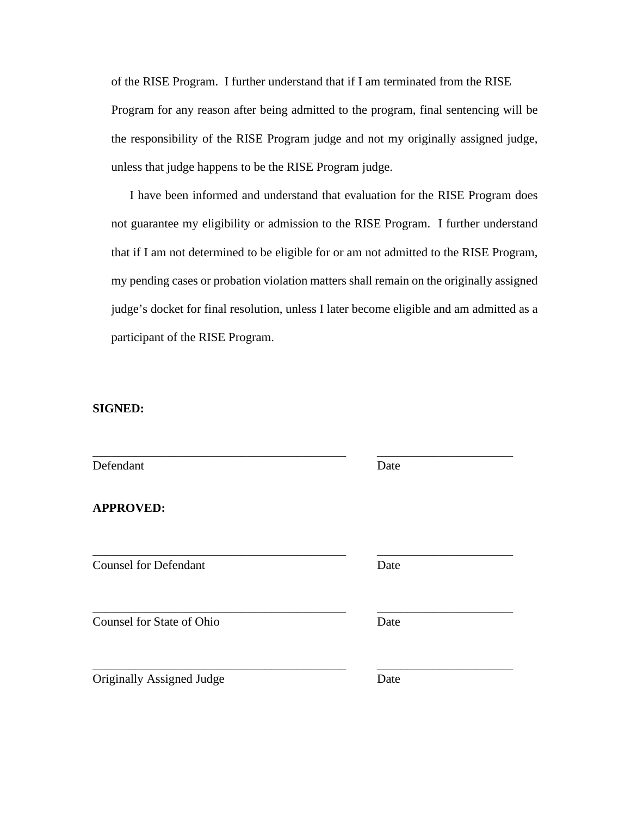of the RISE Program. I further understand that if I am terminated from the RISE Program for any reason after being admitted to the program, final sentencing will be the responsibility of the RISE Program judge and not my originally assigned judge, unless that judge happens to be the RISE Program judge.

I have been informed and understand that evaluation for the RISE Program does not guarantee my eligibility or admission to the RISE Program. I further understand that if I am not determined to be eligible for or am not admitted to the RISE Program, my pending cases or probation violation matters shall remain on the originally assigned judge's docket for final resolution, unless I later become eligible and am admitted as a participant of the RISE Program.

#### **SIGNED:**

| Defendant                        | Date |
|----------------------------------|------|
| <b>APPROVED:</b>                 |      |
| <b>Counsel for Defendant</b>     | Date |
| <b>Counsel for State of Ohio</b> | Date |
| Originally Assigned Judge        | Date |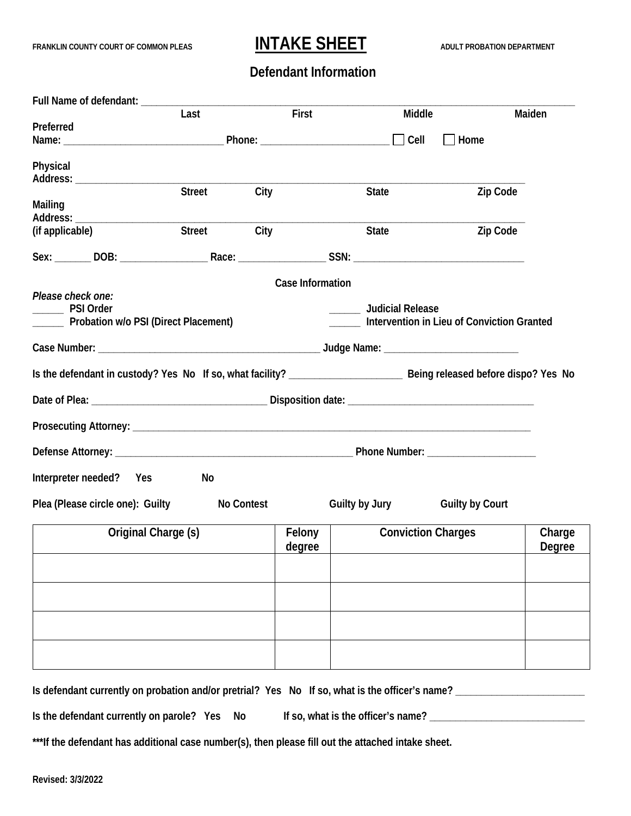# FRANKLIN COUNTY COURT OF COMMON PLEAS **INTAKE SHEET** ADULT PROBATION DEPARTMENT

# **Defendant Information**

|                       | Middle |                                                                          | Maiden                                                                                                                                                                                                                                                                                                                                                                                                                                             |
|-----------------------|--------|--------------------------------------------------------------------------|----------------------------------------------------------------------------------------------------------------------------------------------------------------------------------------------------------------------------------------------------------------------------------------------------------------------------------------------------------------------------------------------------------------------------------------------------|
|                       |        |                                                                          |                                                                                                                                                                                                                                                                                                                                                                                                                                                    |
|                       |        |                                                                          |                                                                                                                                                                                                                                                                                                                                                                                                                                                    |
|                       |        |                                                                          |                                                                                                                                                                                                                                                                                                                                                                                                                                                    |
| City                  | State  | Zip Code                                                                 |                                                                                                                                                                                                                                                                                                                                                                                                                                                    |
| City<br><b>Street</b> | State  | Zip Code                                                                 |                                                                                                                                                                                                                                                                                                                                                                                                                                                    |
|                       |        |                                                                          |                                                                                                                                                                                                                                                                                                                                                                                                                                                    |
|                       |        |                                                                          |                                                                                                                                                                                                                                                                                                                                                                                                                                                    |
|                       |        |                                                                          |                                                                                                                                                                                                                                                                                                                                                                                                                                                    |
|                       |        |                                                                          |                                                                                                                                                                                                                                                                                                                                                                                                                                                    |
|                       |        |                                                                          |                                                                                                                                                                                                                                                                                                                                                                                                                                                    |
|                       |        |                                                                          |                                                                                                                                                                                                                                                                                                                                                                                                                                                    |
|                       |        |                                                                          |                                                                                                                                                                                                                                                                                                                                                                                                                                                    |
|                       |        |                                                                          |                                                                                                                                                                                                                                                                                                                                                                                                                                                    |
|                       |        |                                                                          |                                                                                                                                                                                                                                                                                                                                                                                                                                                    |
| No Contest No. 2014   |        |                                                                          |                                                                                                                                                                                                                                                                                                                                                                                                                                                    |
| Felony<br>degree      |        |                                                                          | Charge<br>Degree                                                                                                                                                                                                                                                                                                                                                                                                                                   |
|                       |        |                                                                          |                                                                                                                                                                                                                                                                                                                                                                                                                                                    |
|                       |        |                                                                          |                                                                                                                                                                                                                                                                                                                                                                                                                                                    |
|                       |        |                                                                          |                                                                                                                                                                                                                                                                                                                                                                                                                                                    |
|                       |        |                                                                          |                                                                                                                                                                                                                                                                                                                                                                                                                                                    |
|                       |        |                                                                          |                                                                                                                                                                                                                                                                                                                                                                                                                                                    |
|                       |        |                                                                          |                                                                                                                                                                                                                                                                                                                                                                                                                                                    |
|                       | First  | Case Information<br><b>Example 21 Judicial Release</b><br>Guilty by Jury | $\Box$ Home<br>Intervention in Lieu of Conviction Granted<br>Is the defendant in custody? Yes No If so, what facility? _______________________ Being released before dispo? Yes No<br><b>Guilty by Court</b><br><b>Conviction Charges</b><br>Is defendant currently on probation and/or pretrial? Yes No If so, what is the officer's name?<br>*** If the defendant has additional case number(s), then please fill out the attached intake sheet. |

**Revised: 3/3/2022**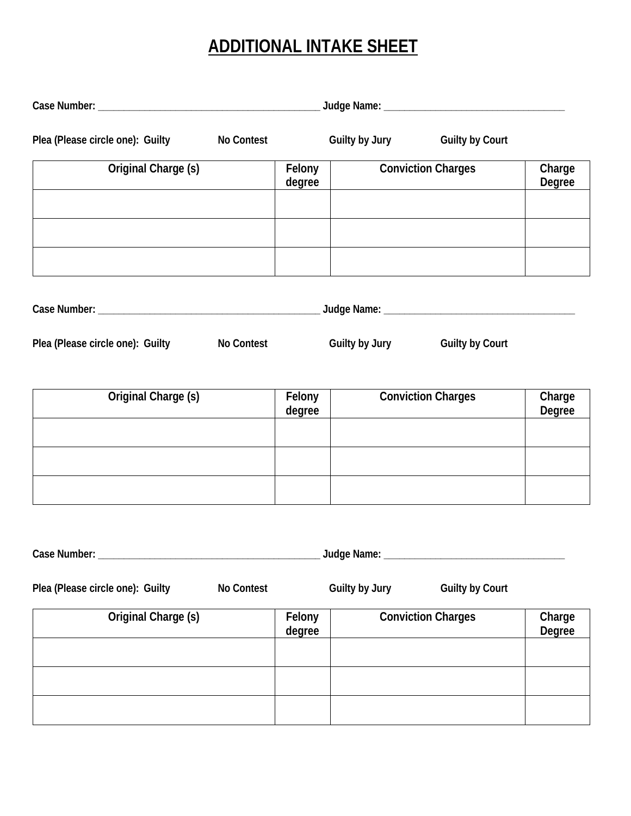# **ADDITIONAL INTAKE SHEET**

| Plea (Please circle one): Guilty | No Contest |                  | Guilty by Jury | <b>Guilty by Court</b>    |                  |
|----------------------------------|------------|------------------|----------------|---------------------------|------------------|
| Original Charge (s)              |            | Felony<br>degree |                | <b>Conviction Charges</b> | Charge<br>Degree |
|                                  |            |                  |                |                           |                  |
| Plea (Please circle one): Guilty | No Contest |                  | Guilty by Jury | <b>Guilty by Court</b>    |                  |
| Original Charge (s)              |            | Felony<br>degree |                | <b>Conviction Charges</b> | Charge<br>Degree |

| ucyı ce | <u>nedi ee</u> |
|---------|----------------|
|         |                |
|         |                |
|         |                |
|         |                |
|         |                |
|         |                |
|         |                |

| Case Number:                     |            |                  | Judge Name: ___________ |                           |                  |
|----------------------------------|------------|------------------|-------------------------|---------------------------|------------------|
| Plea (Please circle one): Guilty | No Contest |                  | Guilty by Jury          | <b>Guilty by Court</b>    |                  |
| Original Charge (s)              |            | Felony<br>degree |                         | <b>Conviction Charges</b> | Charge<br>Degree |
|                                  |            |                  |                         |                           |                  |
|                                  |            |                  |                         |                           |                  |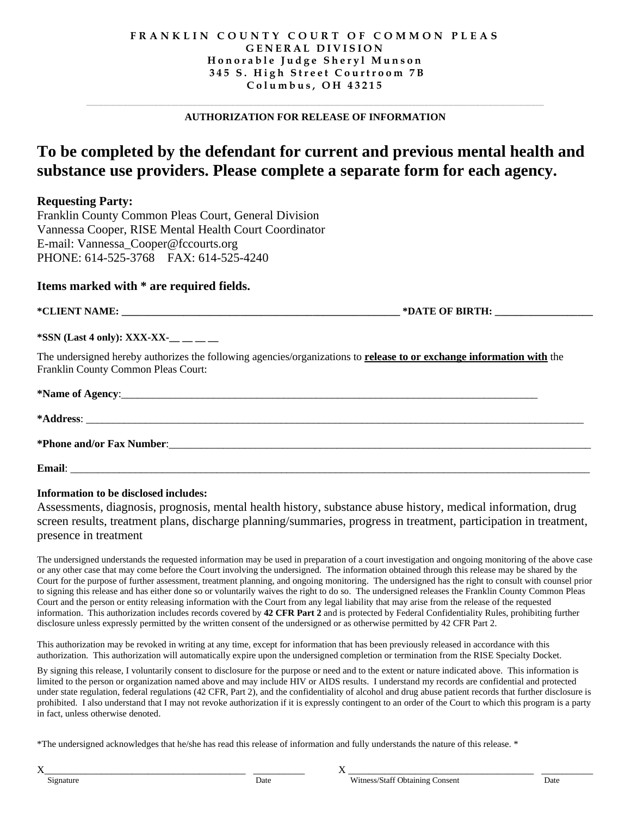#### **FRANKLIN COUNTY COURT OF COMMON PLEAS GENERAL DIVISION Honorable Judge Sheryl Munson 345 S. High Street Courtroom 7B Columbus, OH 43215**

#### \_\_\_\_\_\_\_\_\_\_\_\_\_\_\_\_\_\_\_\_\_\_\_\_\_\_\_\_\_\_\_\_\_\_\_\_\_\_\_\_\_\_\_\_\_\_\_\_\_\_\_\_\_\_\_\_\_\_\_\_\_\_\_\_\_\_\_\_\_\_\_\_\_\_\_\_\_\_\_\_\_\_\_\_\_\_\_\_\_\_\_\_\_\_\_\_\_\_\_\_\_\_\_\_\_\_\_\_\_\_\_\_\_\_\_\_\_\_\_\_\_\_\_\_\_\_\_\_\_\_\_\_\_\_\_\_\_\_\_\_\_\_\_\_\_\_\_\_\_\_\_\_\_\_\_\_\_\_\_\_\_\_\_\_\_\_\_\_\_\_\_\_\_\_\_\_\_\_\_\_\_\_\_\_\_\_\_\_\_\_\_\_\_\_\_\_\_\_\_\_\_\_\_\_\_\_\_\_\_\_\_\_\_\_\_\_\_\_\_\_\_\_ **AUTHORIZATION FOR RELEASE OF INFORMATION**

# **To be completed by the defendant for current and previous mental health and substance use providers. Please complete a separate form for each agency.**

#### **Requesting Party:**

Franklin County Common Pleas Court, General Division Vannessa Cooper, RISE Mental Health Court Coordinator E-mail: Vannessa\_Cooper@fccourts.org PHONE: 614-525-3768 FAX: 614-525-4240

#### **Items marked with \* are required fields.**

**\*CLIENT NAME: \_\_\_\_\_\_\_\_\_\_\_\_\_\_\_\_\_\_\_\_\_\_\_\_\_\_\_\_\_\_\_\_\_\_\_\_\_\_\_\_\_\_\_\_\_\_\_\_\_\_\_\_\_\_ \*DATE OF BIRTH: \_\_\_\_\_\_\_\_\_\_\_\_\_\_\_\_\_\_\_**

**\*SSN (Last 4 only): XXX-XX-\_\_ \_\_ \_\_ \_\_** 

The undersigned hereby authorizes the following agencies/organizations to **release to or exchange information with** the Franklin County Common Pleas Court:

| Email: |  |
|--------|--|

#### **Information to be disclosed includes:**

Assessments, diagnosis, prognosis, mental health history, substance abuse history, medical information, drug screen results, treatment plans, discharge planning/summaries, progress in treatment, participation in treatment, presence in treatment

The undersigned understands the requested information may be used in preparation of a court investigation and ongoing monitoring of the above case or any other case that may come before the Court involving the undersigned. The information obtained through this release may be shared by the Court for the purpose of further assessment, treatment planning, and ongoing monitoring. The undersigned has the right to consult with counsel prior to signing this release and has either done so or voluntarily waives the right to do so. The undersigned releases the Franklin County Common Pleas Court and the person or entity releasing information with the Court from any legal liability that may arise from the release of the requested information. This authorization includes records covered by **42 CFR Part 2** and is protected by Federal Confidentiality Rules, prohibiting further disclosure unless expressly permitted by the written consent of the undersigned or as otherwise permitted by 42 CFR Part 2.

This authorization may be revoked in writing at any time, except for information that has been previously released in accordance with this authorization. This authorization will automatically expire upon the undersigned completion or termination from the RISE Specialty Docket.

By signing this release, I voluntarily consent to disclosure for the purpose or need and to the extent or nature indicated above. This information is limited to the person or organization named above and may include HIV or AIDS results. I understand my records are confidential and protected under state regulation, federal regulations (42 CFR, Part 2), and the confidentiality of alcohol and drug abuse patient records that further disclosure is prohibited. I also understand that I may not revoke authorization if it is expressly contingent to an order of the Court to which this program is a party in fact, unless otherwise denoted.

\*The undersigned acknowledges that he/she has read this release of information and fully understands the nature of this release. \*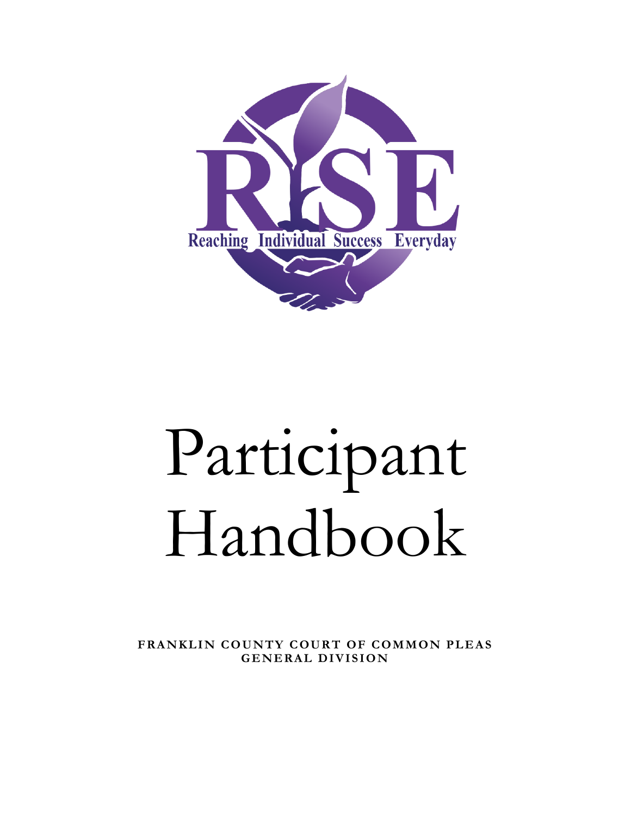

# Participant Handbook

FRANKLIN COUNTY COURT OF COMMON PLEAS **GE NERAL DIVIS IO N**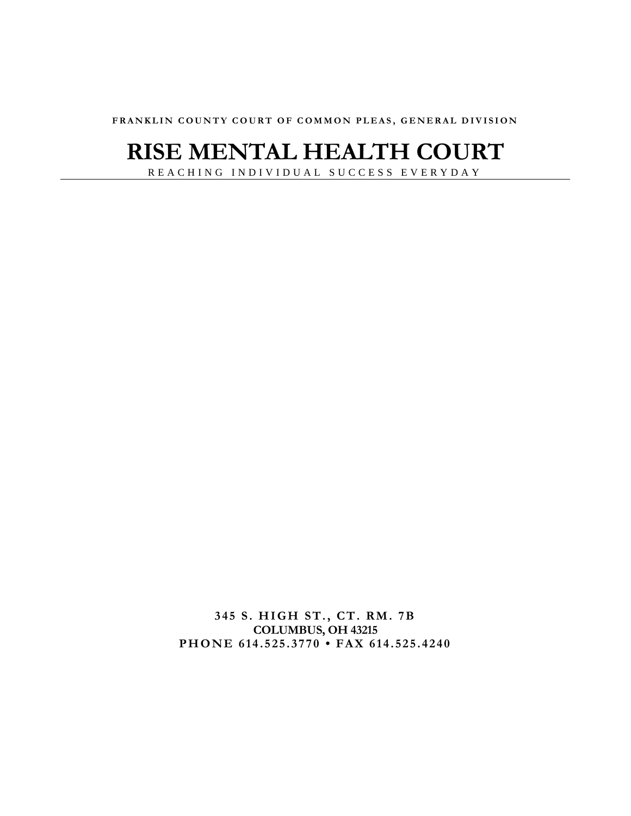FRANKLIN COUNTY COURT OF COMMON PLEAS, GENERAL DIVISION

# **RISE MENTAL HEALTH COURT**

R E A CHING INDIVIDUAL SUCCESS EVERYDAY

**3 45 S . HI GH ST. , CT . RM. 7 B COLUMBUS, OH 43215 PH O NE 614 .5 25. 37 70 • FAX 61 4. 525 .4 24 0**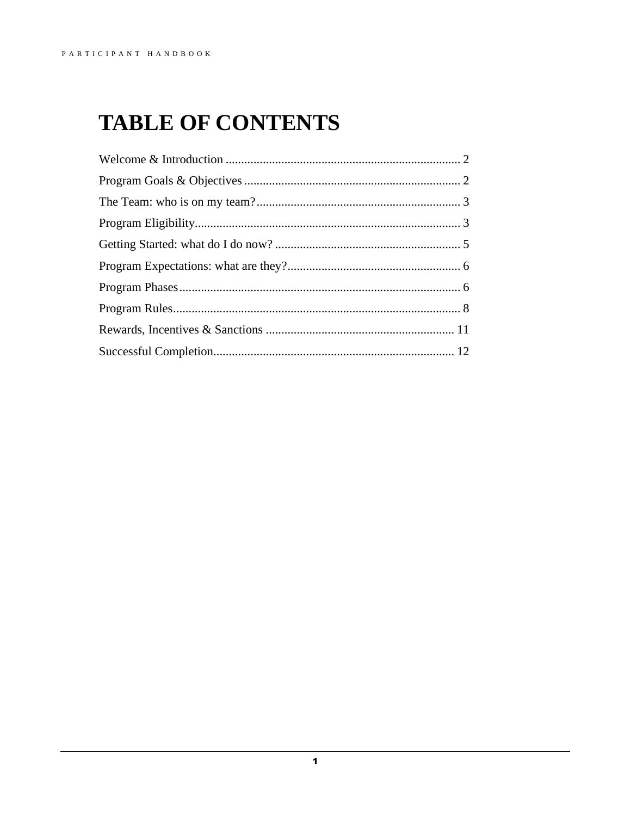# **TABLE OF CONTENTS**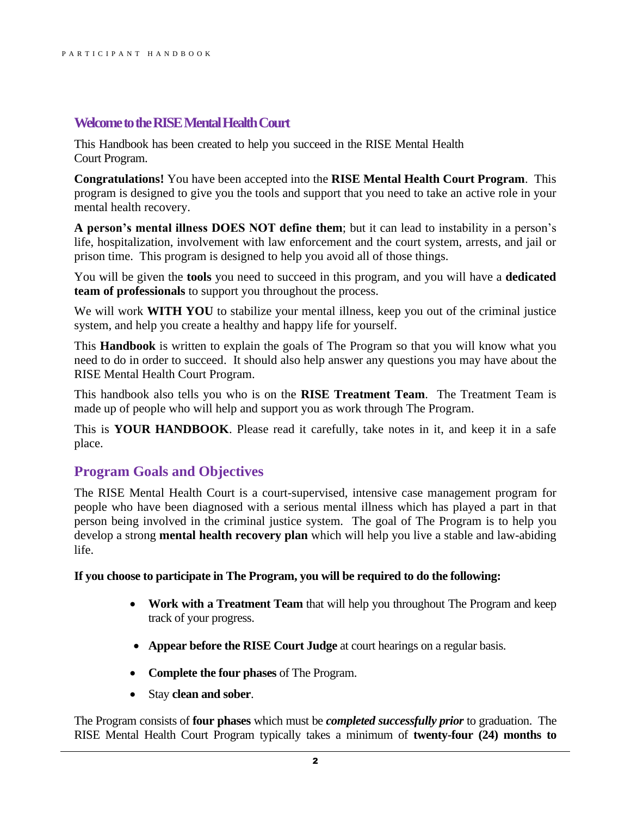## **Welcome to theRISEMental Health Court**

This Handbook has been created to help you succeed in the RISE Mental Health Court Program.

**Congratulations!** You have been accepted into the **RISE Mental Health Court Program**. This program is designed to give you the tools and support that you need to take an active role in your mental health recovery.

**A person's mental illness DOES NOT define them**; but it can lead to instability in a person's life, hospitalization, involvement with law enforcement and the court system, arrests, and jail or prison time. This program is designed to help you avoid all of those things.

You will be given the **tools** you need to succeed in this program, and you will have a **dedicated team of professionals** to support you throughout the process.

We will work **WITH YOU** to stabilize your mental illness, keep you out of the criminal justice system, and help you create a healthy and happy life for yourself.

This **Handbook** is written to explain the goals of The Program so that you will know what you need to do in order to succeed. It should also help answer any questions you may have about the RISE Mental Health Court Program.

This handbook also tells you who is on the **RISE Treatment Team**. The Treatment Team is made up of people who will help and support you as work through The Program.

This is **YOUR HANDBOOK**. Please read it carefully, take notes in it, and keep it in a safe place.

## **Program Goals and Objectives**

The RISE Mental Health Court is a court-supervised, intensive case management program for people who have been diagnosed with a serious mental illness which has played a part in that person being involved in the criminal justice system. The goal of The Program is to help you develop a strong **mental health recovery plan** which will help you live a stable and law-abiding life.

#### **If you choose to participate in The Program, you will be required to do the following:**

- **Work with a Treatment Team** that will help you throughout The Program and keep track of your progress.
- **Appear before the RISE Court Judge** at court hearings on a regular basis.
- **Complete the four phases** of The Program.
- Stay **clean and sober**.

The Program consists of **four phases** which must be *completed successfully prior* to graduation. The RISE Mental Health Court Program typically takes a minimum of **twenty-four (24) months to**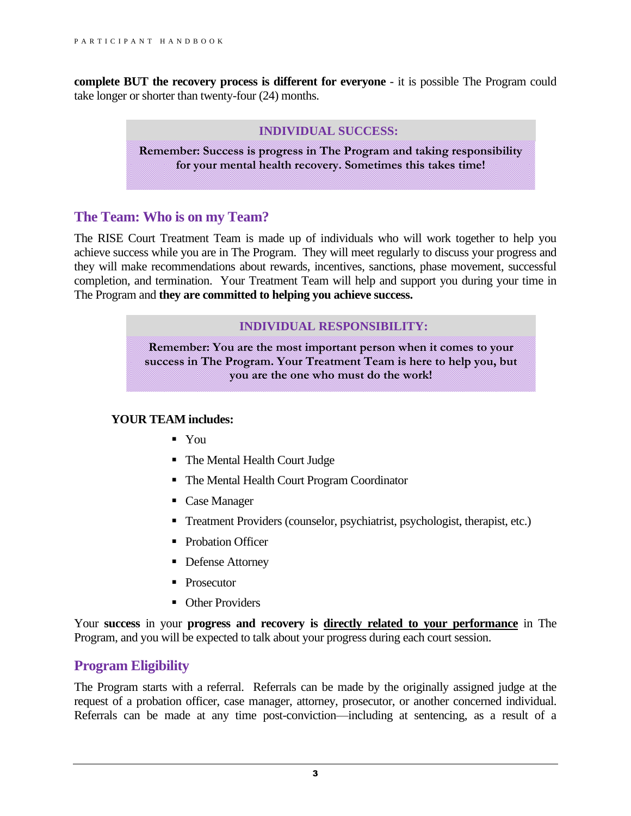**complete BUT the recovery process is different for everyone** - it is possible The Program could take longer or shorter than twenty-four (24) months.

# **INDIVIDUAL SUCCESS: Remember: Success is progress in The Program and taking responsibility for your mental health recovery. Sometimes this takes time!**

# **The Team: Who is on my Team?**

The RISE Court Treatment Team is made up of individuals who will work together to help you achieve success while you are in The Program. They will meet regularly to discuss your progress and they will make recommendations about rewards, incentives, sanctions, phase movement, successful completion, and termination. Your Treatment Team will help and support you during your time in The Program and **they are committed to helping you achieve success.**

#### **INDIVIDUAL RESPONSIBILITY:**

**Remember: You are the most important person when it comes to your success in The Program. Your Treatment Team is here to help you, but you are the one who must do the work!**

#### **YOUR TEAM includes:**

- You
- The Mental Health Court Judge
- The Mental Health Court Program Coordinator
- Case Manager
- Treatment Providers (counselor, psychiatrist, psychologist, therapist, etc.)
- Probation Officer
- Defense Attorney
- Prosecutor
- Other Providers

Your **success** in your **progress and recovery is directly related to your performance** in The Program, and you will be expected to talk about your progress during each court session.

# **Program Eligibility**

The Program starts with a referral. Referrals can be made by the originally assigned judge at the request of a probation officer, case manager, attorney, prosecutor, or another concerned individual. Referrals can be made at any time post-conviction—including at sentencing, as a result of a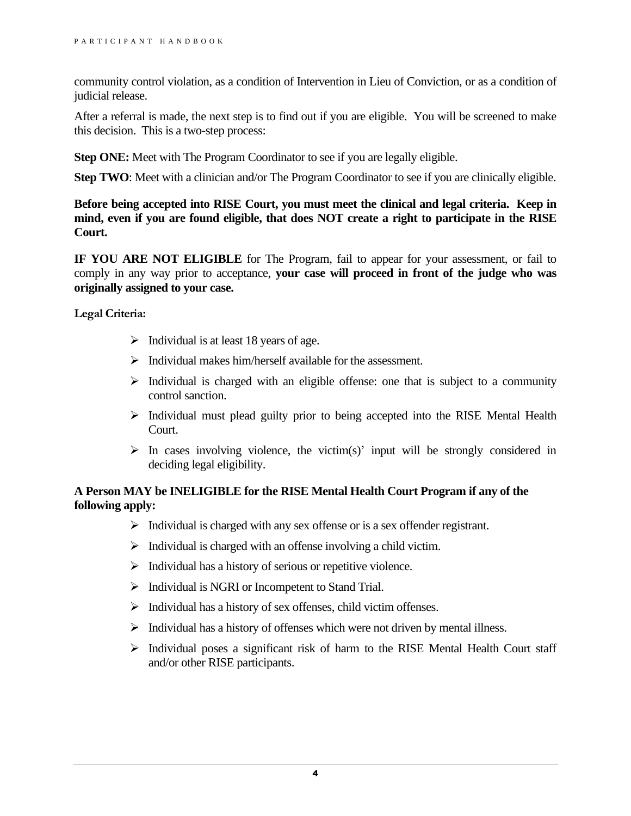community control violation, as a condition of Intervention in Lieu of Conviction, or as a condition of judicial release.

After a referral is made, the next step is to find out if you are eligible. You will be screened to make this decision. This is a two-step process:

**Step ONE:** Meet with The Program Coordinator to see if you are legally eligible.

**Step TWO**: Meet with a clinician and/or The Program Coordinator to see if you are clinically eligible.

**Before being accepted into RISE Court, you must meet the clinical and legal criteria. Keep in mind, even if you are found eligible, that does NOT create a right to participate in the RISE Court.** 

**IF YOU ARE NOT ELIGIBLE** for The Program, fail to appear for your assessment, or fail to comply in any way prior to acceptance, **your case will proceed in front of the judge who was originally assigned to your case.**

**Legal Criteria:**

- $\triangleright$  Individual is at least 18 years of age.
- ➢ Individual makes him/herself available for the assessment.
- $\triangleright$  Individual is charged with an eligible offense: one that is subject to a community control sanction.
- $\triangleright$  Individual must plead guilty prior to being accepted into the RISE Mental Health Court.
- $\triangleright$  In cases involving violence, the victim(s) input will be strongly considered in deciding legal eligibility.

#### **A Person MAY be INELIGIBLE for the RISE Mental Health Court Program if any of the following apply:**

- ➢ Individual is charged with any sex offense or is a sex offender registrant.
- $\triangleright$  Individual is charged with an offense involving a child victim.
- $\triangleright$  Individual has a history of serious or repetitive violence.
- ➢ Individual is NGRI or Incompetent to Stand Trial.
- ➢ Individual has a history of sex offenses, child victim offenses.
- $\triangleright$  Individual has a history of offenses which were not driven by mental illness.
- $\triangleright$  Individual poses a significant risk of harm to the RISE Mental Health Court staff and/or other RISE participants.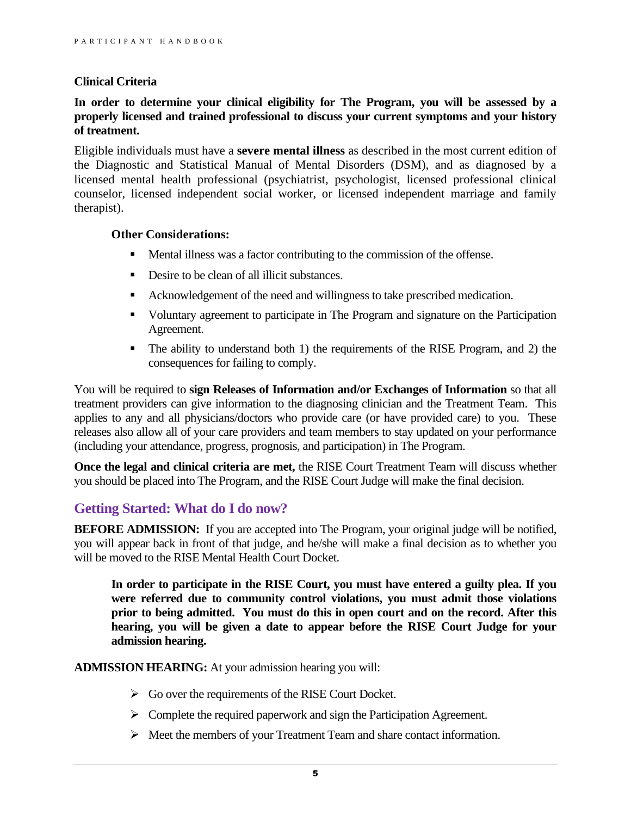#### **Clinical Criteria**

#### **In order to determine your clinical eligibility for The Program, you will be assessed by a properly licensed and trained professional to discuss your current symptoms and your history of treatment.**

Eligible individuals must have a **severe mental illness** as described in the most current edition of the Diagnostic and Statistical Manual of Mental Disorders (DSM), and as diagnosed by a licensed mental health professional (psychiatrist, psychologist, licensed professional clinical counselor, licensed independent social worker, or licensed independent marriage and family therapist).

#### **Other Considerations:**

- Mental illness was a factor contributing to the commission of the offense.
- Desire to be clean of all illicit substances.
- Acknowledgement of the need and willingness to take prescribed medication.
- Voluntary agreement to participate in The Program and signature on the Participation Agreement.
- The ability to understand both 1) the requirements of the RISE Program, and 2) the consequences for failing to comply.

You will be required to **sign Releases of Information and/or Exchanges of Information** so that all treatment providers can give information to the diagnosing clinician and the Treatment Team. This applies to any and all physicians/doctors who provide care (or have provided care) to you. These releases also allow all of your care providers and team members to stay updated on your performance (including your attendance, progress, prognosis, and participation) in The Program.

**Once the legal and clinical criteria are met,** the RISE Court Treatment Team will discuss whether you should be placed into The Program, and the RISE Court Judge will make the final decision.

## **Getting Started: What do I do now?**

**BEFORE ADMISSION:** If you are accepted into The Program, your original judge will be notified, you will appear back in front of that judge, and he/she will make a final decision as to whether you will be moved to the RISE Mental Health Court Docket.

**In order to participate in the RISE Court, you must have entered a guilty plea. If you were referred due to community control violations, you must admit those violations prior to being admitted. You must do this in open court and on the record. After this hearing, you will be given a date to appear before the RISE Court Judge for your admission hearing.**

**ADMISSION HEARING:** At your admission hearing you will:

- $\triangleright$  Go over the requirements of the RISE Court Docket.
- ➢ Complete the required paperwork and sign the Participation Agreement.
- ➢ Meet the members of your Treatment Team and share contact information.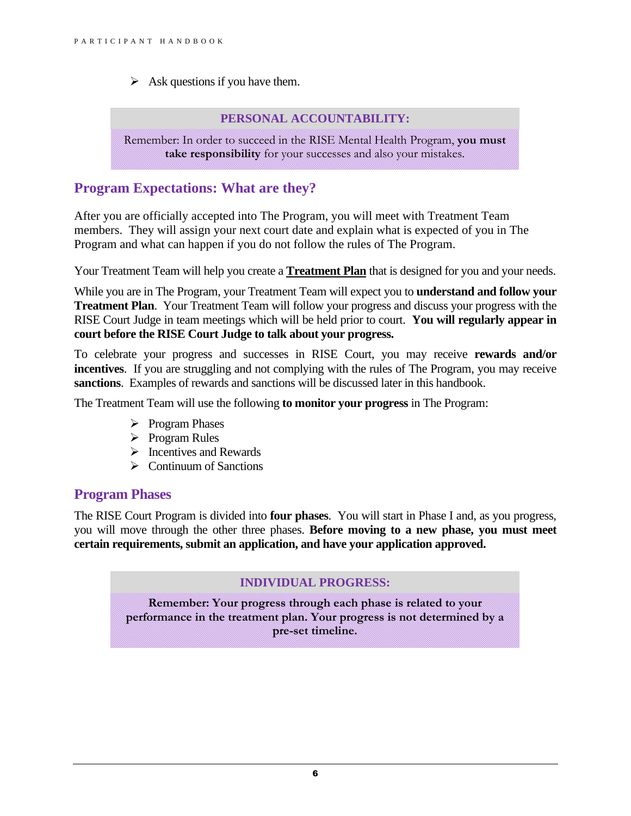$\triangleright$  Ask questions if you have them.

#### **PERSONAL ACCOUNTABILITY:**

Remember: In order to succeed in the RISE Mental Health Program, **you must take responsibility** for your successes and also your mistakes.

# **Program Expectations: What are they?**

After you are officially accepted into The Program, you will meet with Treatment Team members. They will assign your next court date and explain what is expected of you in The Program and what can happen if you do not follow the rules of The Program.

Your Treatment Team will help you create a **Treatment Plan** that is designed for you and your needs.

While you are in The Program, your Treatment Team will expect you to **understand and follow your Treatment Plan**. Your Treatment Team will follow your progress and discuss your progress with the RISE Court Judge in team meetings which will be held prior to court. **You will regularly appear in court before the RISE Court Judge to talk about your progress.** 

To celebrate your progress and successes in RISE Court, you may receive **rewards and/or incentives**. If you are struggling and not complying with the rules of The Program, you may receive **sanctions**. Examples of rewards and sanctions will be discussed later in this handbook.

The Treatment Team will use the following **to monitor your progress** in The Program:

- ➢ Program Phases
- ➢ Program Rules
- $\triangleright$  Incentives and Rewards
- $\triangleright$  Continuum of Sanctions

## **Program Phases**

The RISE Court Program is divided into **four phases**. You will start in Phase I and, as you progress, you will move through the other three phases. **Before moving to a new phase, you must meet certain requirements, submit an application, and have your application approved.**

## **INDIVIDUAL PROGRESS:**

**Remember: Your progress through each phase is related to your performance in the treatment plan. Your progress is not determined by a pre-set timeline.**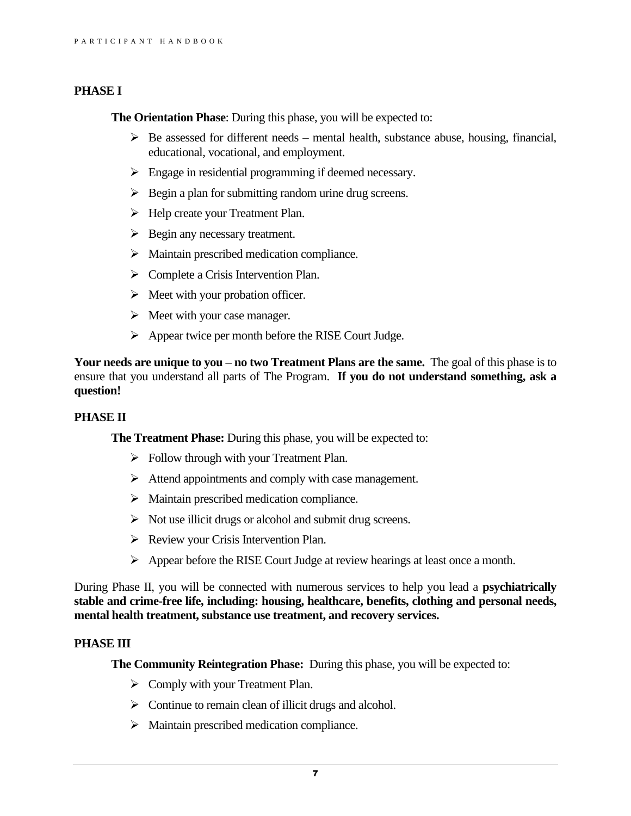#### **PHASE I**

**The Orientation Phase**: During this phase, you will be expected to:

- $\triangleright$  Be assessed for different needs mental health, substance abuse, housing, financial, educational, vocational, and employment.
- $\triangleright$  Engage in residential programming if deemed necessary.
- $\triangleright$  Begin a plan for submitting random urine drug screens.
- ➢ Help create your Treatment Plan.
- ➢ Begin any necessary treatment.
- ➢ Maintain prescribed medication compliance.
- ➢ Complete a Crisis Intervention Plan.
- $\triangleright$  Meet with your probation officer.
- $\triangleright$  Meet with your case manager.
- $\triangleright$  Appear twice per month before the RISE Court Judge.

**Your needs are unique to you – no two Treatment Plans are the same.** The goal of this phase is to ensure that you understand all parts of The Program. **If you do not understand something, ask a question!**

#### **PHASE II**

**The Treatment Phase:** During this phase, you will be expected to:

- ➢ Follow through with your Treatment Plan.
- $\triangleright$  Attend appointments and comply with case management.
- ➢ Maintain prescribed medication compliance.
- $\triangleright$  Not use illicit drugs or alcohol and submit drug screens.
- ➢ Review your Crisis Intervention Plan.
- ➢ Appear before the RISE Court Judge at review hearings at least once a month.

During Phase II, you will be connected with numerous services to help you lead a **psychiatrically stable and crime-free life, including: housing, healthcare, benefits, clothing and personal needs, mental health treatment, substance use treatment, and recovery services.**

#### **PHASE III**

**The Community Reintegration Phase:** During this phase, you will be expected to:

- ➢ Comply with your Treatment Plan.
- $\triangleright$  Continue to remain clean of illicit drugs and alcohol.
- ➢ Maintain prescribed medication compliance.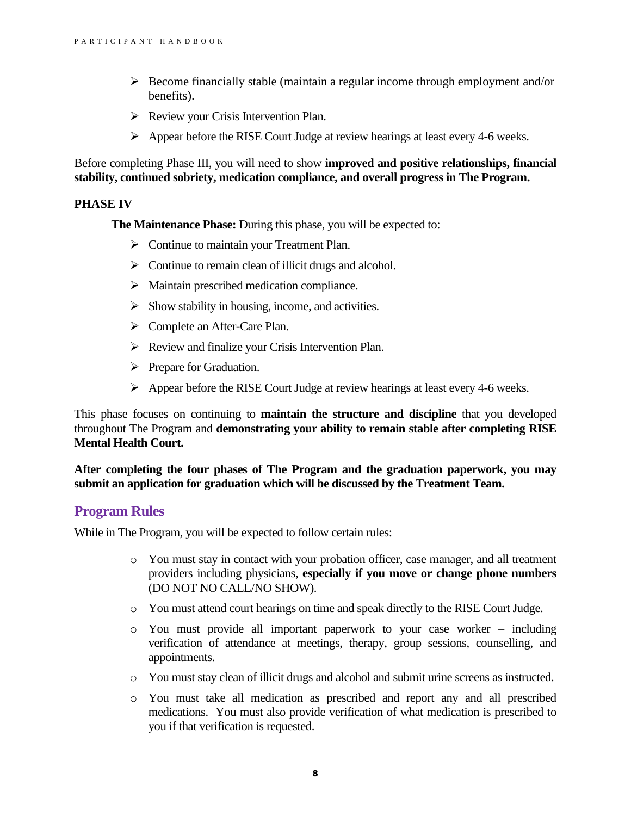- $\triangleright$  Become financially stable (maintain a regular income through employment and/or benefits).
- ➢ Review your Crisis Intervention Plan.
- ➢ Appear before the RISE Court Judge at review hearings at least every 4-6 weeks.

Before completing Phase III, you will need to show **improved and positive relationships, financial stability, continued sobriety, medication compliance, and overall progress in The Program.**

#### **PHASE IV**

**The Maintenance Phase:** During this phase, you will be expected to:

- ➢ Continue to maintain your Treatment Plan.
- $\triangleright$  Continue to remain clean of illicit drugs and alcohol.
- ➢ Maintain prescribed medication compliance.
- $\triangleright$  Show stability in housing, income, and activities.
- ➢ Complete an After-Care Plan.
- ➢ Review and finalize your Crisis Intervention Plan.
- ➢ Prepare for Graduation.
- ➢ Appear before the RISE Court Judge at review hearings at least every 4-6 weeks.

This phase focuses on continuing to **maintain the structure and discipline** that you developed throughout The Program and **demonstrating your ability to remain stable after completing RISE Mental Health Court.**

**After completing the four phases of The Program and the graduation paperwork, you may submit an application for graduation which will be discussed by the Treatment Team.**

## **Program Rules**

While in The Program, you will be expected to follow certain rules:

- o You must stay in contact with your probation officer, case manager, and all treatment providers including physicians, **especially if you move or change phone numbers** (DO NOT NO CALL/NO SHOW).
- o You must attend court hearings on time and speak directly to the RISE Court Judge.
- o You must provide all important paperwork to your case worker including verification of attendance at meetings, therapy, group sessions, counselling, and appointments.
- o You must stay clean of illicit drugs and alcohol and submit urine screens as instructed.
- o You must take all medication as prescribed and report any and all prescribed medications. You must also provide verification of what medication is prescribed to you if that verification is requested.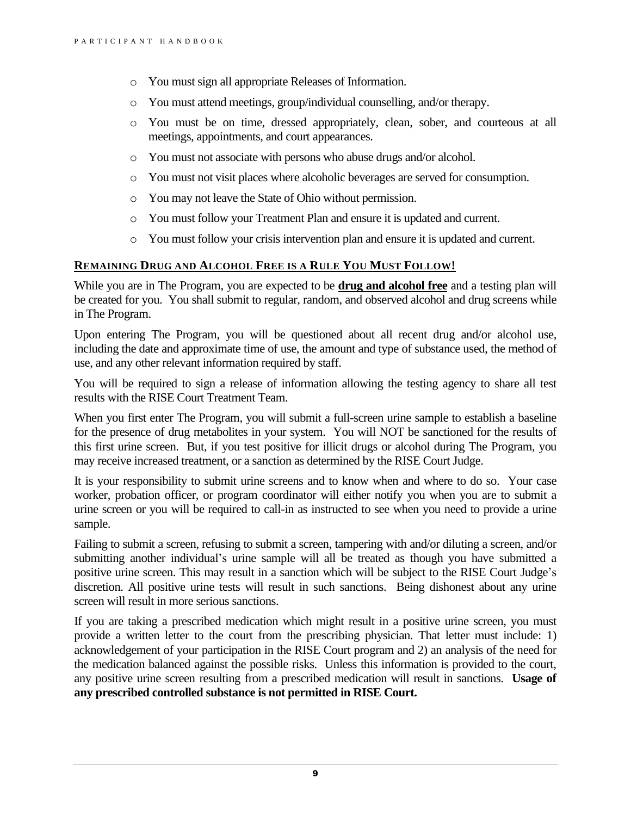- o You must sign all appropriate Releases of Information.
- o You must attend meetings, group/individual counselling, and/or therapy.
- o You must be on time, dressed appropriately, clean, sober, and courteous at all meetings, appointments, and court appearances.
- o You must not associate with persons who abuse drugs and/or alcohol.
- o You must not visit places where alcoholic beverages are served for consumption.
- o You may not leave the State of Ohio without permission.
- o You must follow your Treatment Plan and ensure it is updated and current.
- o You must follow your crisis intervention plan and ensure it is updated and current.

#### **REMAINING DRUG AND ALCOHOL FREE IS A RULE YOU MUST FOLLOW!**

While you are in The Program, you are expected to be **drug and alcohol free** and a testing plan will be created for you. You shall submit to regular, random, and observed alcohol and drug screens while in The Program.

Upon entering The Program, you will be questioned about all recent drug and/or alcohol use, including the date and approximate time of use, the amount and type of substance used, the method of use, and any other relevant information required by staff.

You will be required to sign a release of information allowing the testing agency to share all test results with the RISE Court Treatment Team.

When you first enter The Program, you will submit a full-screen urine sample to establish a baseline for the presence of drug metabolites in your system. You will NOT be sanctioned for the results of this first urine screen. But, if you test positive for illicit drugs or alcohol during The Program, you may receive increased treatment, or a sanction as determined by the RISE Court Judge.

It is your responsibility to submit urine screens and to know when and where to do so. Your case worker, probation officer, or program coordinator will either notify you when you are to submit a urine screen or you will be required to call-in as instructed to see when you need to provide a urine sample.

Failing to submit a screen, refusing to submit a screen, tampering with and/or diluting a screen, and/or submitting another individual's urine sample will all be treated as though you have submitted a positive urine screen. This may result in a sanction which will be subject to the RISE Court Judge's discretion. All positive urine tests will result in such sanctions. Being dishonest about any urine screen will result in more serious sanctions.

If you are taking a prescribed medication which might result in a positive urine screen, you must provide a written letter to the court from the prescribing physician. That letter must include: 1) acknowledgement of your participation in the RISE Court program and 2) an analysis of the need for the medication balanced against the possible risks. Unless this information is provided to the court, any positive urine screen resulting from a prescribed medication will result in sanctions. **Usage of any prescribed controlled substance is not permitted in RISE Court.**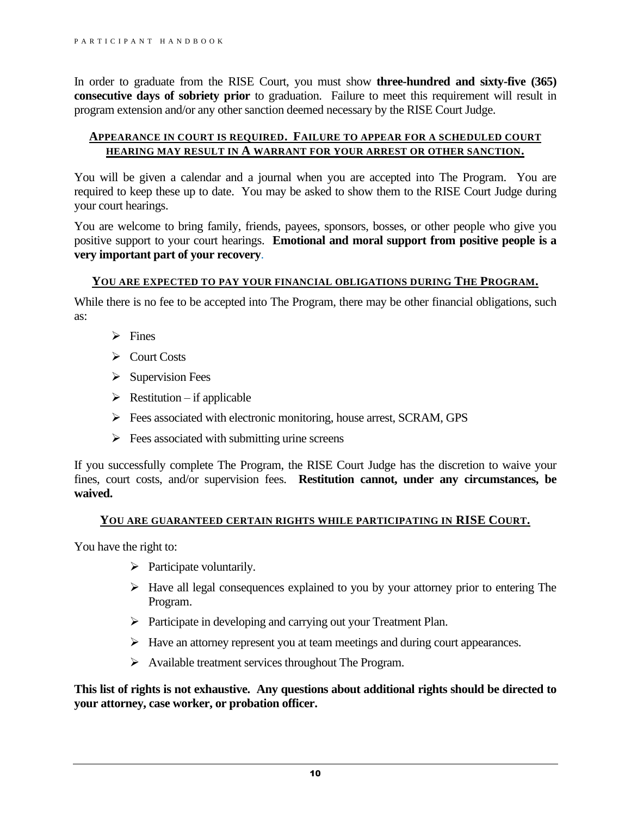In order to graduate from the RISE Court, you must show **three-hundred and sixty-five (365) consecutive days of sobriety prior** to graduation. Failure to meet this requirement will result in program extension and/or any other sanction deemed necessary by the RISE Court Judge.

#### **APPEARANCE IN COURT IS REQUIRED. FAILURE TO APPEAR FOR A SCHEDULED COURT HEARING MAY RESULT IN A WARRANT FOR YOUR ARREST OR OTHER SANCTION.**

You will be given a calendar and a journal when you are accepted into The Program. You are required to keep these up to date. You may be asked to show them to the RISE Court Judge during your court hearings.

You are welcome to bring family, friends, payees, sponsors, bosses, or other people who give you positive support to your court hearings. **Emotional and moral support from positive people is a very important part of your recovery**.

#### **YOU ARE EXPECTED TO PAY YOUR FINANCIAL OBLIGATIONS DURING THE PROGRAM.**

While there is no fee to be accepted into The Program, there may be other financial obligations, such as:

- $\triangleright$  Fines
- ➢ Court Costs
- $\triangleright$  Supervision Fees
- $\triangleright$  Restitution if applicable
- ➢ Fees associated with electronic monitoring, house arrest, SCRAM, GPS
- $\triangleright$  Fees associated with submitting urine screens

If you successfully complete The Program, the RISE Court Judge has the discretion to waive your fines, court costs, and/or supervision fees. **Restitution cannot, under any circumstances, be waived.**

#### **YOU ARE GUARANTEED CERTAIN RIGHTS WHILE PARTICIPATING IN RISE COURT.**

You have the right to:

- ➢ Participate voluntarily.
- $\triangleright$  Have all legal consequences explained to you by your attorney prior to entering The Program.
- ➢ Participate in developing and carrying out your Treatment Plan.
- ➢ Have an attorney represent you at team meetings and during court appearances.
- ➢ Available treatment services throughout The Program.

#### **This list of rights is not exhaustive. Any questions about additional rights should be directed to your attorney, case worker, or probation officer.**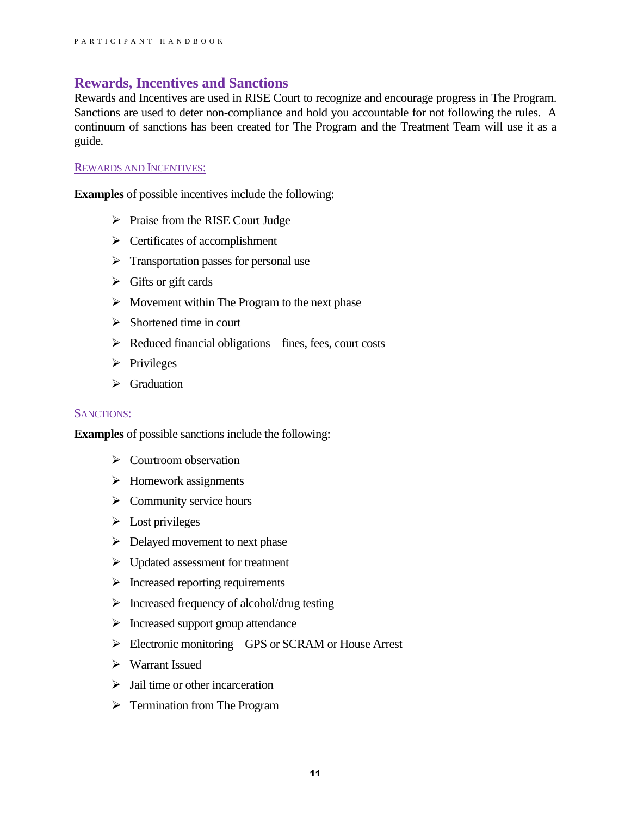# **Rewards, Incentives and Sanctions**

Rewards and Incentives are used in RISE Court to recognize and encourage progress in The Program. Sanctions are used to deter non-compliance and hold you accountable for not following the rules. A continuum of sanctions has been created for The Program and the Treatment Team will use it as a guide.

#### REWARDS AND INCENTIVES:

**Examples** of possible incentives include the following:

- ➢ Praise from the RISE Court Judge
- $\triangleright$  Certificates of accomplishment
- ➢ Transportation passes for personal use
- $\triangleright$  Gifts or gift cards
- $\triangleright$  Movement within The Program to the next phase
- $\triangleright$  Shortened time in court
- $\triangleright$  Reduced financial obligations fines, fees, court costs
- ➢ Privileges
- ➢ Graduation

#### SANCTIONS:

**Examples** of possible sanctions include the following:

- ➢ Courtroom observation
- ➢ Homework assignments
- $\triangleright$  Community service hours
- $\triangleright$  Lost privileges
- ➢ Delayed movement to next phase
- ➢ Updated assessment for treatment
- $\triangleright$  Increased reporting requirements
- $\triangleright$  Increased frequency of alcohol/drug testing
- ➢ Increased support group attendance
- ➢ Electronic monitoring GPS or SCRAM or House Arrest
- ➢ Warrant Issued
- $\triangleright$  Jail time or other incarceration
- ➢ Termination from The Program